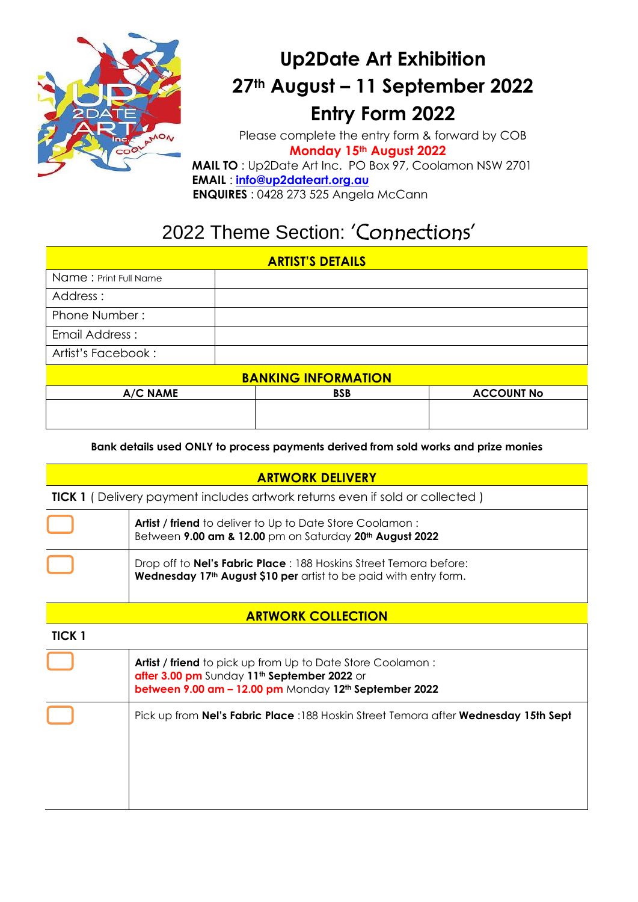

## **Up2Date Art Exhibition 27th August – 11 September 2022 Entry Form 2022**

Please complete the entry form & forward by COB  **Monday 15th August 2022 MAIL TO** : Up2Date Art Inc. PO Box 97, Coolamon NSW 2701 **EMAIL** : **[info@up2dateart.org.au](mailto:info@up2dateart.org.au)**

 **ENQUIRES** : 0428 273 525 Angela McCann

## 2022 Theme Section: 'Connections'

#### **ARTIST'S DETAILS**

| Name: Print Full Name      |  |  |
|----------------------------|--|--|
| Address:                   |  |  |
| Phone Number:              |  |  |
| Email Address:             |  |  |
| Artist's Facebook:         |  |  |
| <b>BANKING INFORMATION</b> |  |  |

| <u>DAINNINU INFUMININUN</u> |            |                   |  |
|-----------------------------|------------|-------------------|--|
| A/C NAME                    | <b>BSB</b> | <b>ACCOUNT No</b> |  |
|                             |            |                   |  |
|                             |            |                   |  |
|                             |            |                   |  |

**Bank details used ONLY to process payments derived from sold works and prize monies**

### **ARTWORK DELIVERY**

**TICK 1** ( Delivery payment includes artwork returns even if sold or collected )

| Artist / friend to deliver to Up to Date Store Coolamon:<br>Between 9.00 am & 12.00 pm on Saturday 20 <sup>th</sup> August 2022                            |
|------------------------------------------------------------------------------------------------------------------------------------------------------------|
| Drop off to <b>Nel's Fabric Place</b> : 188 Hoskins Street Temora before:<br>Wednesday 17 <sup>th</sup> August \$10 per artist to be paid with entry form. |

## **ARTWORK COLLECTION**

| TICK 1 |                                                                                                                                                                                |
|--------|--------------------------------------------------------------------------------------------------------------------------------------------------------------------------------|
|        | Artist / friend to pick up from Up to Date Store Coolamon:<br>after 3.00 pm Sunday 11 <sup>th</sup> September 2022 or<br>between 9.00 am - 12.00 pm Monday 12th September 2022 |
|        | Pick up from <b>Nel's Fabric Place</b> :188 Hoskin Street Temora after <b>Wednesday 15th Sept</b>                                                                              |